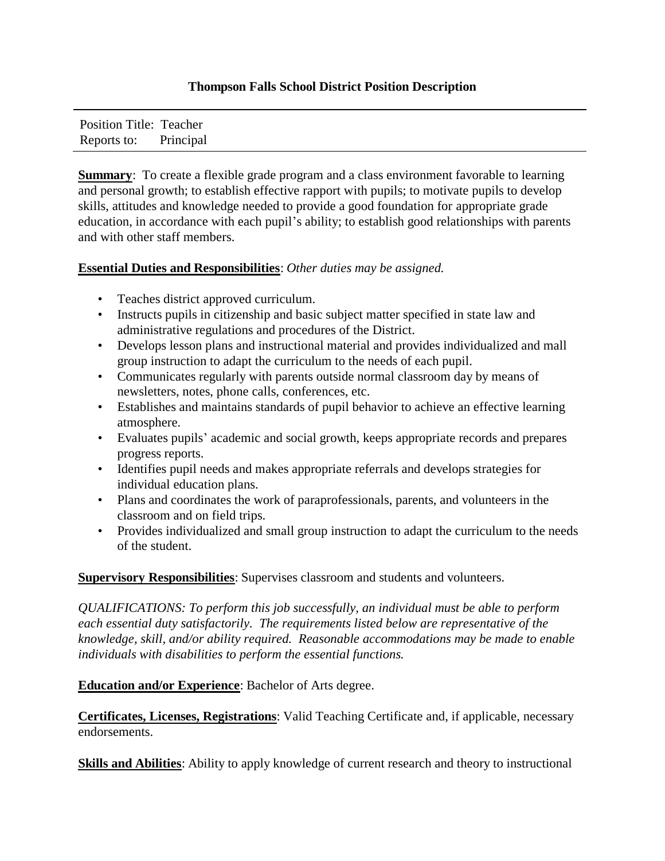## **Thompson Falls School District Position Description**

Position Title: Teacher Reports to: Principal

**Summary**: To create a flexible grade program and a class environment favorable to learning and personal growth; to establish effective rapport with pupils; to motivate pupils to develop skills, attitudes and knowledge needed to provide a good foundation for appropriate grade education, in accordance with each pupil's ability; to establish good relationships with parents and with other staff members.

## **Essential Duties and Responsibilities**: *Other duties may be assigned.*

- Teaches district approved curriculum.
- Instructs pupils in citizenship and basic subject matter specified in state law and administrative regulations and procedures of the District.
- Develops lesson plans and instructional material and provides individualized and mall group instruction to adapt the curriculum to the needs of each pupil.
- Communicates regularly with parents outside normal classroom day by means of newsletters, notes, phone calls, conferences, etc.
- Establishes and maintains standards of pupil behavior to achieve an effective learning atmosphere.
- Evaluates pupils' academic and social growth, keeps appropriate records and prepares progress reports.
- Identifies pupil needs and makes appropriate referrals and develops strategies for individual education plans.
- Plans and coordinates the work of paraprofessionals, parents, and volunteers in the classroom and on field trips.
- Provides individualized and small group instruction to adapt the curriculum to the needs of the student.

**Supervisory Responsibilities**: Supervises classroom and students and volunteers.

*QUALIFICATIONS: To perform this job successfully, an individual must be able to perform each essential duty satisfactorily. The requirements listed below are representative of the knowledge, skill, and/or ability required. Reasonable accommodations may be made to enable individuals with disabilities to perform the essential functions.* 

**Education and/or Experience**: Bachelor of Arts degree.

**Certificates, Licenses, Registrations**: Valid Teaching Certificate and, if applicable, necessary endorsements.

**Skills and Abilities**: Ability to apply knowledge of current research and theory to instructional